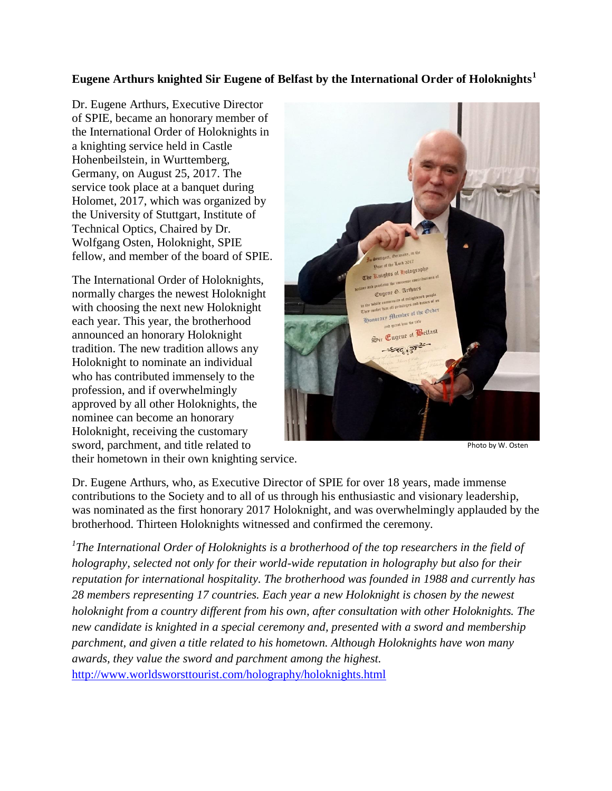## **Eugene Arthurs knighted Sir Eugene of Belfast by the International Order of Holoknights<sup>1</sup>**

Dr. Eugene Arthurs, Executive Director of SPIE, became an honorary member of the International Order of Holoknights in a knighting service held in Castle Hohenbeilstein, in Wurttemberg, Germany, on August 25, 2017. The service took place at a banquet during Holomet, 2017, which was organized by the University of Stuttgart, Institute of Technical Optics, Chaired by Dr. Wolfgang Osten, Holoknight, SPIE fellow, and member of the board of SPIE.

The International Order of Holoknights, normally charges the newest Holoknight with choosing the next new Holoknight each year. This year, the brotherhood announced an honorary Holoknight tradition. The new tradition allows any Holoknight to nominate an individual who has contributed immensely to the profession, and if overwhelmingly approved by all other Holoknights, the nominee can become an honorary Holoknight, receiving the customary sword, parchment, and title related to



Photo by W. Osten

their hometown in their own knighting service.

Dr. Eugene Arthurs, who, as Executive Director of SPIE for over 18 years, made immense contributions to the Society and to all of us through his enthusiastic and visionary leadership, was nominated as the first honorary 2017 Holoknight, and was overwhelmingly applauded by the brotherhood. Thirteen Holoknights witnessed and confirmed the ceremony.

*1 The International Order of Holoknights is a brotherhood of the top researchers in the field of holography, selected not only for their world-wide reputation in holography but also for their reputation for international hospitality. The brotherhood was founded in 1988 and currently has 28 members representing 17 countries. Each year a new Holoknight is chosen by the newest holoknight from a country different from his own, after consultation with other Holoknights. The new candidate is knighted in a special ceremony and, presented with a sword and membership parchment, and given a title related to his hometown. Although Holoknights have won many awards, they value the sword and parchment among the highest.*  <http://www.worldsworsttourist.com/holography/holoknights.html>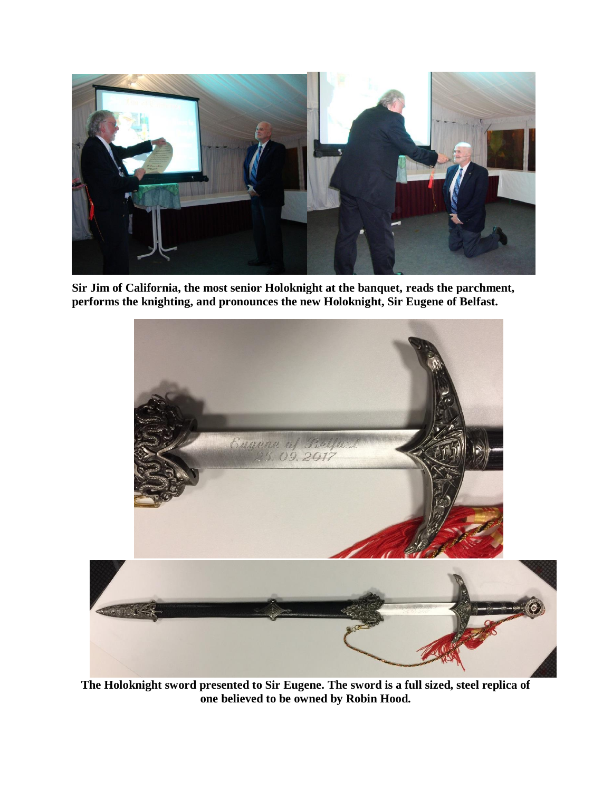

**Sir Jim of California, the most senior Holoknight at the banquet, reads the parchment, performs the knighting, and pronounces the new Holoknight, Sir Eugene of Belfast.**



**The Holoknight sword presented to Sir Eugene. The sword is a full sized, steel replica of one believed to be owned by Robin Hood.**